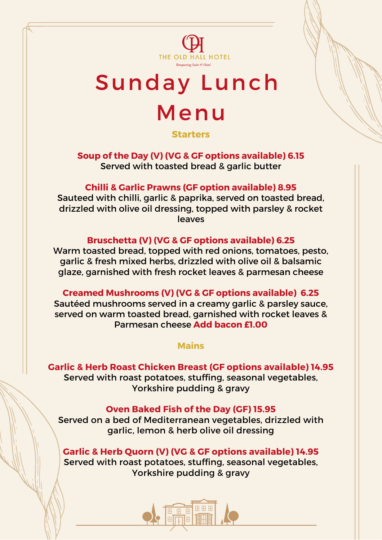

# Sunday Lunch Menu

**Starters**

**Soup of the Day (V) (VG & GF options available) 6.15** Served with toasted bread & garlic butter

# **Chilli & Garlic Prawns (GF option available) 8.95**

Sauteed with chilli, garlic & paprika, served on toasted bread, drizzled with olive oil dressing, topped with parsley & rocket leaves

### **Bruschetta (V) (VG & GF options available) 6.25**

Warm toasted bread, topped with red onions, tomatoes, pesto, garlic & fresh mixed herbs, drizzled with olive oil & balsamic glaze, garnished with fresh rocket leaves & parmesan cheese

**Creamed Mushrooms (V) (VG & GF options available) 6.25** Sautéed mushrooms served in a creamy garlic & parsley sauce, served on warm toasted bread, garnished with rocket leaves & Parmesan cheese **Add bacon £1.00**

#### **Mains**

**Garlic & Herb Roast Chicken Breast (GF options available) 14.95** Served with roast potatoes, stuffing, seasonal vegetables, Yorkshire pudding & gravy

# **Oven Baked Fish of the Day (GF) 15.95**

Served on a bed of Mediterranean vegetables, drizzled with garlic, lemon & herb olive oil dressing

**Garlic & Herb Quorn (V) (VG & GF options available) 14.95** Served with roast potatoes, stuffing, seasonal vegetables, Yorkshire pudding & gravy